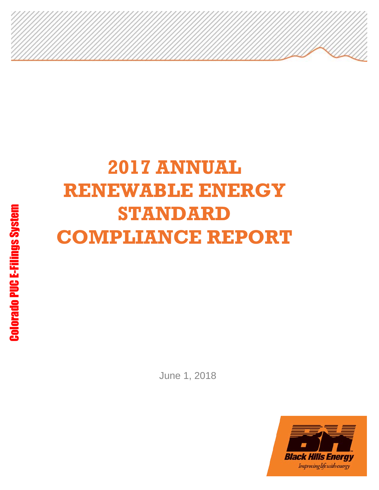# **2017 ANNUAL RENEWABLE ENERGY STANDARD COMPLIANCE REPORT**

June 1, 2018

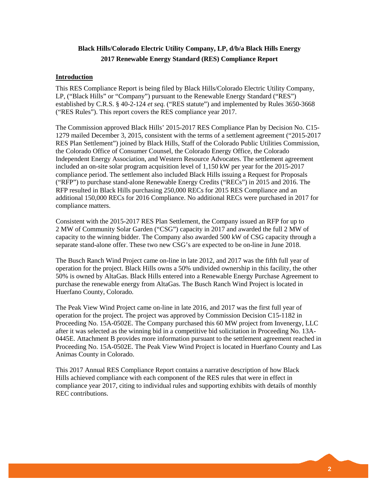## **Black Hills/Colorado Electric Utility Company, LP, d/b/a Black Hills Energy 2017 Renewable Energy Standard (RES) Compliance Report**

#### **Introduction**

This RES Compliance Report is being filed by Black Hills/Colorado Electric Utility Company, LP, ("Black Hills" or "Company") pursuant to the Renewable Energy Standard ("RES") established by C.R.S. § 40-2-124 *et seq.* ("RES statute") and implemented by Rules 3650-3668 ("RES Rules"). This report covers the RES compliance year 2017.

The Commission approved Black Hills' 2015-2017 RES Compliance Plan by Decision No. C15- 1279 mailed December 3, 2015, consistent with the terms of a settlement agreement ("2015-2017 RES Plan Settlement") joined by Black Hills, Staff of the Colorado Public Utilities Commission, the Colorado Office of Consumer Counsel, the Colorado Energy Office, the Colorado Independent Energy Association, and Western Resource Advocates. The settlement agreement included an on-site solar program acquisition level of 1,150 kW per year for the 2015-2017 compliance period. The settlement also included Black Hills issuing a Request for Proposals ("RFP") to purchase stand-alone Renewable Energy Credits ("RECs") in 2015 and 2016. The RFP resulted in Black Hills purchasing 250,000 RECs for 2015 RES Compliance and an additional 150,000 RECs for 2016 Compliance. No additional RECs were purchased in 2017 for compliance matters.

Consistent with the 2015-2017 RES Plan Settlement, the Company issued an RFP for up to 2 MW of Community Solar Garden ("CSG") capacity in 2017 and awarded the full 2 MW of capacity to the winning bidder. The Company also awarded 500 kW of CSG capacity through a separate stand-alone offer. These two new CSG's are expected to be on-line in June 2018.

The Busch Ranch Wind Project came on-line in late 2012, and 2017 was the fifth full year of operation for the project. Black Hills owns a 50% undivided ownership in this facility, the other 50% is owned by AltaGas. Black Hills entered into a Renewable Energy Purchase Agreement to purchase the renewable energy from AltaGas. The Busch Ranch Wind Project is located in Huerfano County, Colorado.

The Peak View Wind Project came on-line in late 2016, and 2017 was the first full year of operation for the project. The project was approved by Commission Decision C15-1182 in Proceeding No. 15A-0502E. The Company purchased this 60 MW project from Invenergy, LLC after it was selected as the winning bid in a competitive bid solicitation in Proceeding No. 13A-0445E. Attachment B provides more information pursuant to the settlement agreement reached in Proceeding No. 15A-0502E. The Peak View Wind Project is located in Huerfano County and Las Animas County in Colorado.

This 2017 Annual RES Compliance Report contains a narrative description of how Black Hills achieved compliance with each component of the RES rules that were in effect in compliance year 2017, citing to individual rules and supporting exhibits with details of monthly REC contributions.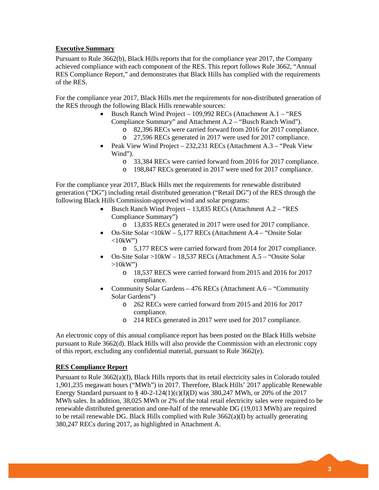### **Executive Summary**

Pursuant to Rule 3662(b), Black Hills reports that for the compliance year 2017, the Company achieved compliance with each component of the RES. This report follows Rule 3662, "Annual RES Compliance Report," and demonstrates that Black Hills has complied with the requirements of the RES.

For the compliance year 2017, Black Hills met the requirements for non-distributed generation of the RES through the following Black Hills renewable sources:

- Busch Ranch Wind Project 109,992 RECs (Attachment A.1 "RES Compliance Summary" and Attachment A.2 – "Busch Ranch Wind").
	- o 82,396 RECs were carried forward from 2016 for 2017 compliance.
	- o 27,596 RECs generated in 2017 were used for 2017 compliance.
- Peak View Wind Project 232,231 RECs (Attachment A.3 "Peak View Wind").
	- o 33,384 RECs were carried forward from 2016 for 2017 compliance.
	- o 198,847 RECs generated in 2017 were used for 2017 compliance.

For the compliance year 2017, Black Hills met the requirements for renewable distributed generation ("DG") including retail distributed generation ("Retail DG") of the RES through the following Black Hills Commission-approved wind and solar programs:

- Busch Ranch Wind Project 13,835 RECs (Attachment A.2 "RES Compliance Summary")
	- o 13,835 RECs generated in 2017 were used for 2017 compliance.
- On-Site Solar <10kW 5,177 RECs (Attachment A.4 "Onsite Solar  $\langle 10kW'' \rangle$ 
	- o 5,177 RECS were carried forward from 2014 for 2017 compliance.
- On-Site Solar >10kW 18,537 RECs (Attachment A.5 "Onsite Solar  $>10$ kW")
	- o 18,537 RECS were carried forward from 2015 and 2016 for 2017 compliance.
- Community Solar Gardens 476 RECs (Attachment A.6 "Community Solar Gardens")
	- o 262 RECs were carried forward from 2015 and 2016 for 2017 compliance.
	- o 214 RECs generated in 2017 were used for 2017 compliance.

An electronic copy of this annual compliance report has been posted on the Black Hills website pursuant to Rule 3662(d). Black Hills will also provide the Commission with an electronic copy of this report, excluding any confidential material, pursuant to Rule 3662(e).

#### **RES Compliance Report**

Pursuant to Rule 3662(a)(I), Black Hills reports that its retail electricity sales in Colorado totaled 1,901,235 megawatt hours ("MWh") in 2017. Therefore, Black Hills' 2017 applicable Renewable Energy Standard pursuant to  $\S$  40-2-124(1)(c)(I)(D) was 380,247 MWh, or 20% of the 2017 MWh sales. In addition, 38,025 MWh or 2% of the total retail electricity sales were required to be renewable distributed generation and one-half of the renewable DG (19,013 MWh) are required to be retail renewable DG. Black Hills complied with Rule  $3662(a)(I)$  by actually generating 380,247 RECs during 2017, as highlighted in Attachment A.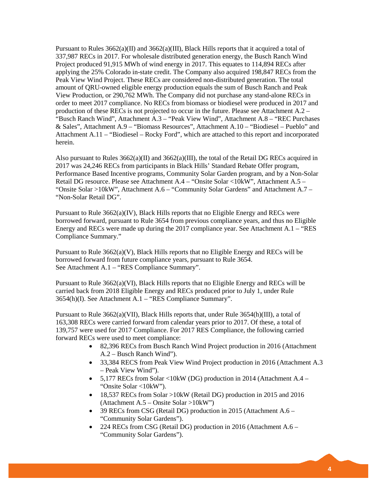Pursuant to Rules  $3662(a)(II)$  and  $3662(a)(III)$ , Black Hills reports that it acquired a total of 337,987 RECs in 2017. For wholesale distributed generation energy, the Busch Ranch Wind Project produced 91,915 MWh of wind energy in 2017. This equates to 114,894 RECs after applying the 25% Colorado in-state credit. The Company also acquired 198,847 RECs from the Peak View Wind Project. These RECs are considered non-distributed generation. The total amount of QRU-owned eligible energy production equals the sum of Busch Ranch and Peak View Production, or 290,762 MWh. The Company did not purchase any stand-alone RECs in order to meet 2017 compliance. No RECs from biomass or biodiesel were produced in 2017 and production of these RECs is not projected to occur in the future. Please see Attachment A.2 – "Busch Ranch Wind", Attachment A.3 – "Peak View Wind", Attachment A.8 – "REC Purchases & Sales", Attachment A.9 – "Biomass Resources", Attachment A.10 – "Biodiesel – Pueblo" and Attachment A.11 – "Biodiesel – Rocky Ford", which are attached to this report and incorporated herein.

Also pursuant to Rules  $3662(a)(II)$  and  $3662(a)(III)$ , the total of the Retail DG RECs acquired in 2017 was 24,246 RECs from participants in Black Hills' Standard Rebate Offer program, Performance Based Incentive programs, Community Solar Garden program, and by a Non-Solar Retail DG resource. Please see Attachment A.4 – "Onsite Solar <10kW", Attachment A.5 – "Onsite Solar >10kW", Attachment A.6 – "Community Solar Gardens" and Attachment A.7 – "Non-Solar Retail DG".

Pursuant to Rule 3662(a)(IV), Black Hills reports that no Eligible Energy and RECs were borrowed forward, pursuant to Rule 3654 from previous compliance years, and thus no Eligible Energy and RECs were made up during the 2017 compliance year. See Attachment A.1 – "RES Compliance Summary."

Pursuant to Rule 3662(a)(V), Black Hills reports that no Eligible Energy and RECs will be borrowed forward from future compliance years, pursuant to Rule 3654. See Attachment A.1 – "RES Compliance Summary".

Pursuant to Rule 3662(a)(VI), Black Hills reports that no Eligible Energy and RECs will be carried back from 2018 Eligible Energy and RECs produced prior to July 1, under Rule 3654(h)(I). See Attachment A.1 – "RES Compliance Summary".

Pursuant to Rule 3662(a)(VII), Black Hills reports that, under Rule 3654(h)(III), a total of 163,308 RECs were carried forward from calendar years prior to 2017. Of these, a total of 139,757 were used for 2017 Compliance. For 2017 RES Compliance, the following carried forward RECs were used to meet compliance:

- 82,396 RECs from Busch Ranch Wind Project production in 2016 (Attachment A.2 – Busch Ranch Wind").
- 33,384 RECS from Peak View Wind Project production in 2016 (Attachment A.3) – Peak View Wind").
- 5,177 RECs from Solar <10kW (DG) production in 2014 (Attachment A.4 "Onsite Solar <10kW").
- 18,537 RECs from Solar >10kW (Retail DG) production in 2015 and 2016 (Attachment A.5 – Onsite Solar >10kW")
- 39 RECs from CSG (Retail DG) production in 2015 (Attachment A.6 "Community Solar Gardens").
- 224 RECs from CSG (Retail DG) production in 2016 (Attachment A.6 "Community Solar Gardens").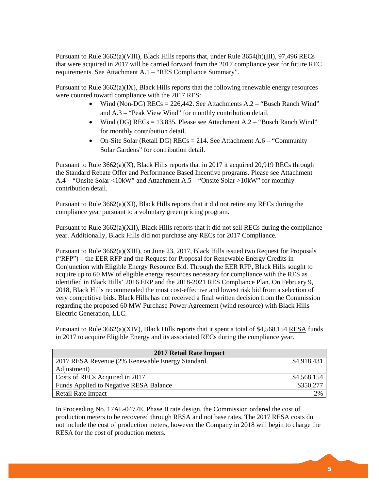Pursuant to Rule 3662(a)(VIII), Black Hills reports that, under Rule 3654(h)(III), 97,496 RECs that were acquired in 2017 will be carried forward from the 2017 compliance year for future REC requirements. See Attachment A.1 – "RES Compliance Summary".

Pursuant to Rule 3662(a)(IX), Black Hills reports that the following renewable energy resources were counted toward compliance with the 2017 RES:

- Wind (Non-DG)  $RECs = 226,442$ . See Attachments  $A.2 -$  "Busch Ranch Wind" and A.3 – "Peak View Wind" for monthly contribution detail.
- Wind (DG) RECs = 13,835. Please see Attachment A.2 "Busch Ranch Wind" for monthly contribution detail.
- On-Site Solar (Retail DG) RECs = 214. See Attachment A.6 "Community" Solar Gardens" for contribution detail.

Pursuant to Rule  $3662(a)(X)$ , Black Hills reports that in 2017 it acquired 20,919 RECs through the Standard Rebate Offer and Performance Based Incentive programs. Please see Attachment A.4 – "Onsite Solar <10kW" and Attachment A.5 – "Onsite Solar >10kW" for monthly contribution detail.

Pursuant to Rule 3662(a)(XI), Black Hills reports that it did not retire any RECs during the compliance year pursuant to a voluntary green pricing program.

Pursuant to Rule 3662(a)(XII), Black Hills reports that it did not sell RECs during the compliance year. Additionally, Black Hills did not purchase any RECs for 2017 Compliance.

Pursuant to Rule 3662(a)(XIII), on June 23, 2017, Black Hills issued two Request for Proposals ("RFP") – the EER RFP and the Request for Proposal for Renewable Energy Credits in Conjunction with Eligible Energy Resource Bid. Through the EER RFP, Black Hills sought to acquire up to 60 MW of eligible energy resources necessary for compliance with the RES as identified in Black Hills' 2016 ERP and the 2018-2021 RES Compliance Plan. On February 9, 2018, Black Hills recommended the most cost-effective and lowest risk bid from a selection of very competitive bids. Black Hills has not received a final written decision from the Commission regarding the proposed 60 MW Purchase Power Agreement (wind resource) with Black Hills Electric Generation, LLC.

Pursuant to Rule 3662(a)(XIV), Black Hills reports that it spent a total of \$4,568,154 RESA funds in 2017 to acquire Eligible Energy and its associated RECs during the compliance year.

| 2017 Retail Rate Impact                         |             |
|-------------------------------------------------|-------------|
| 2017 RESA Revenue (2% Renewable Energy Standard | \$4,918,431 |
| Adjustment)                                     |             |
| Costs of RECs Acquired in 2017                  | \$4,568,154 |
| Funds Applied to Negative RESA Balance          | \$350,277   |
| Retail Rate Impact                              | 2%          |

In Proceeding No. 17AL-0477E, Phase II rate design, the Commission ordered the cost of production meters to be recovered through RESA and not base rates. The 2017 RESA costs do not include the cost of production meters, however the Company in 2018 will begin to charge the RESA for the cost of production meters.